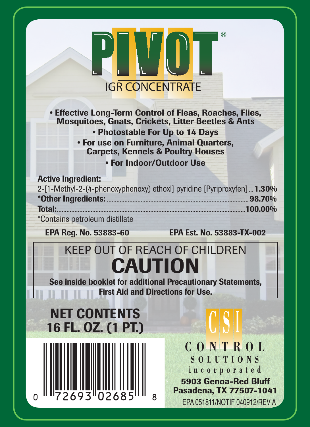| W<br><b>IGR CONCENTRATE</b>                                                                                                                                                                                                                                                                       |                                                                                                                                 |  |
|---------------------------------------------------------------------------------------------------------------------------------------------------------------------------------------------------------------------------------------------------------------------------------------------------|---------------------------------------------------------------------------------------------------------------------------------|--|
| <b>• Effective Long-Term Control of Fleas, Roaches, Flies,</b><br><b>Mosquitoes, Gnats, Crickets, Litter Beetles &amp; Ants</b><br>• Photostable For Up to 14 Days<br><b>• For use on Furniture, Animal Quarters,</b><br><b>Carpets, Kennels &amp; Poultry Houses</b><br>. For Indoor/Outdoor Use |                                                                                                                                 |  |
| <b>Active Ingredient:</b><br>2-[1-Methyl-2-(4-phenoxyphenoxy) ethoxl] pyridine [Pyriproxyfen]  1.30%<br>Total:<br>*Contains petroleum distillate<br>EPA Reg. No. 53883-60                                                                                                                         | $100.00\%$<br>EPA Est. No. 53883-TX-002                                                                                         |  |
| <b>KEEP OUT OF REACH OF CHILDREN</b><br><b>CAUTION</b><br>See inside booklet for additional Precautionary Statements.<br><b>First Aid and Directions for Use.</b>                                                                                                                                 |                                                                                                                                 |  |
| <b>NET CONTENTS</b><br>16 FL. OZ. (1 PT.)                                                                                                                                                                                                                                                         |                                                                                                                                 |  |
|                                                                                                                                                                                                                                                                                                   | CONTROL<br><b>SOLUTIONS</b><br>incorporated<br>5903 Genoa-Red Bluff<br>Pasadena, TX 77507-1041<br>EPA 051811/NOTIF 040912/REV A |  |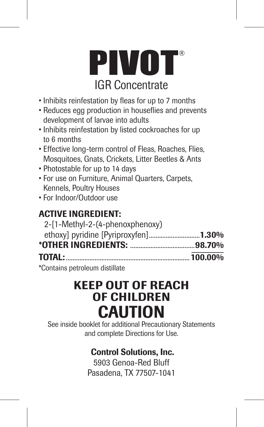

- Inhibits reinfestation by fleas for up to 7 months
- Reduces egg production in houseflies and prevents development of larvae into adults
- Inhibits reinfestation by listed cockroaches for up to 6 months
- Effective long-term control of Fleas, Roaches, Flies, Mosquitoes, Gnats, Crickets, Litter Beetles & Ants
- Photostable for up to 14 days
- For use on Furniture, Animal Quarters, Carpets, Kennels, Poultry Houses
- For Indoor/Outdoor use

## ACTIVE INGREDIENT:

| 2-[1-Methyl-2-(4-phenoxphenoxy)                                                                                                                                                                                                                                                                                     |  |
|---------------------------------------------------------------------------------------------------------------------------------------------------------------------------------------------------------------------------------------------------------------------------------------------------------------------|--|
| ethoxy] pyridine [Pyriproxyfen]1.30%                                                                                                                                                                                                                                                                                |  |
|                                                                                                                                                                                                                                                                                                                     |  |
| TOTAL: 100.00%                                                                                                                                                                                                                                                                                                      |  |
| $\frac{1}{2}$ $\frac{1}{2}$ $\frac{1}{2}$ $\frac{1}{2}$ $\frac{1}{2}$ $\frac{1}{2}$ $\frac{1}{2}$ $\frac{1}{2}$ $\frac{1}{2}$ $\frac{1}{2}$ $\frac{1}{2}$ $\frac{1}{2}$ $\frac{1}{2}$ $\frac{1}{2}$ $\frac{1}{2}$ $\frac{1}{2}$ $\frac{1}{2}$ $\frac{1}{2}$ $\frac{1}{2}$ $\frac{1}{2}$ $\frac{1}{2}$ $\frac{1}{2}$ |  |

\*Contains petroleum distillate

# KEEP OUT OF REACH OF CHILDREN **CAUTION**

See inside booklet for additional Precautionary Statements and complete Directions for Use.

# Control Solutions, Inc.

5903 Genoa-Red Bluff Pasadena, TX 77507-1041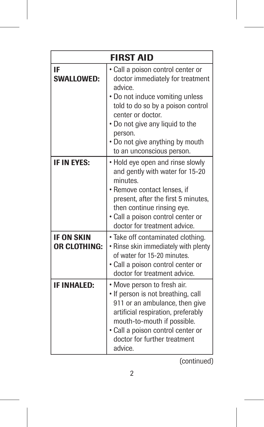| <b>FIRST AID</b>           |                                                                                                                                                                                                                                                                                             |  |
|----------------------------|---------------------------------------------------------------------------------------------------------------------------------------------------------------------------------------------------------------------------------------------------------------------------------------------|--|
| IF<br><b>SWALLOWED:</b>    | · Call a poison control center or<br>doctor immediately for treatment<br>advice.<br>• Do not induce vomiting unless<br>told to do so by a poison control<br>center or doctor.<br>. Do not give any liquid to the<br>person.<br>. Do not give anything by mouth<br>to an unconscious person. |  |
| IF IN EYES:                | • Hold eye open and rinse slowly<br>and gently with water for 15-20<br>minutes.<br>• Remove contact lenses, if<br>present, after the first 5 minutes,<br>then continue rinsing eye.<br>· Call a poison control center or<br>doctor for treatment advice.                                    |  |
| IF ON SKIN<br>OR CLOTHING: | · Take off contaminated clothing.<br>• Rinse skin immediately with plenty<br>of water for 15-20 minutes.<br>· Call a poison control center or<br>doctor for treatment advice.                                                                                                               |  |
| <b>IF INHALED:</b>         | • Move person to fresh air.<br>• If person is not breathing, call<br>911 or an ambulance, then give<br>artificial respiration, preferably<br>mouth-to-mouth if possible.<br>· Call a poison control center or<br>doctor for further treatment<br>advice.                                    |  |

(continued)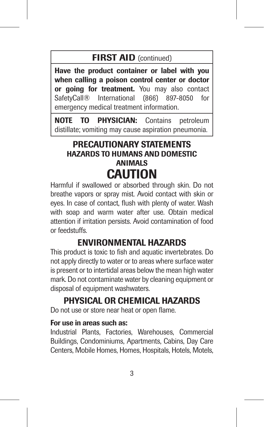#### **FIRST AID** (continued)

Have the product container or label with you when calling a poison control center or doctor or going for treatment. You may also contact SafetyCall® International (866) 897-8050 for emergency medical treatment information.

NOTE TO PHYSICIAN: Contains petroleum distillate; vomiting may cause aspiration pneumonia.

#### PRECAUTIONARY STATEMENTS HAZARDS TO HUMANS AND DOMESTIC ANIMALS CAUTION

Harmful if swallowed or absorbed through skin. Do not breathe vapors or spray mist. Avoid contact with skin or eyes. In case of contact, flush with plenty of water. Wash with soap and warm water after use. Obtain medical attention if irritation persists. Avoid contamination of food or feedstuffs.

#### ENVIRONMENTAL HAZARDS

This product is toxic to fish and aquatic invertebrates. Do not apply directly to water or to areas where surface water is present or to intertidal areas below the mean high water mark. Do not contaminate water by cleaning equipment or disposal of equipment washwaters.

### PHYSICAL OR CHEMICAL HAZARDS

Do not use or store near heat or open flame.

#### For use in areas such as:

Industrial Plants, Factories, Warehouses, Commercial Buildings, Condominiums, Apartments, Cabins, Day Care Centers, Mobile Homes, Homes, Hospitals, Hotels, Motels,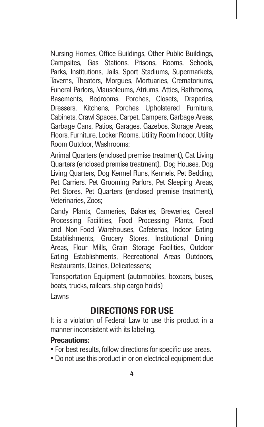Nursing Homes, Office Buildings, Other Public Buildings, Campsites, Gas Stations, Prisons, Rooms, Schools, Parks, Institutions, Jails, Sport Stadiums, Supermarkets, Taverns, Theaters, Morgues, Mortuaries, Crematoriums, Funeral Parlors, Mausoleums, Atriums, Attics, Bathrooms, Basements, Bedrooms, Porches, Closets, Draperies, Dressers, Kitchens, Porches Upholstered Furniture, Cabinets, Crawl Spaces, Carpet, Campers, Garbage Areas, Garbage Cans, Patios, Garages, Gazebos, Storage Areas, Floors, Furniture, Locker Rooms, Utility Room Indoor, Utility Room Outdoor, Washrooms;

Animal Quarters (enclosed premise treatment), Cat Living Quarters (enclosed premise treatment), Dog Houses, Dog Living Quarters, Dog Kennel Runs, Kennels, Pet Bedding, Pet Carriers, Pet Grooming Parlors, Pet Sleeping Areas, Pet Stores, Pet Quarters (enclosed premise treatment), Veterinaries, Zoos;

Candy Plants, Canneries, Bakeries, Breweries, Cereal Processing Facilities, Food Processing Plants, Food and Non-Food Warehouses, Cafeterias, Indoor Eating Establishments, Grocery Stores, Institutional Dining Areas, Flour Mills, Grain Storage Facilities, Outdoor Eating Establishments, Recreational Areas Outdoors, Restaurants, Dairies, Delicatessens;

Transportation Equipment (automobiles, boxcars, buses, boats, trucks, railcars, ship cargo holds)

Lawns

#### DIRECTIONS FOR USE

It is a violation of Federal Law to use this product in a manner inconsistent with its labeling.

#### Precautions:

- For best results, follow directions for specific use areas.
- Do not use this product in or on electrical equipment due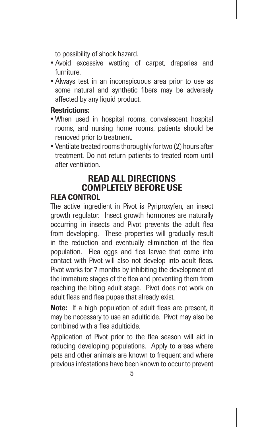to possibility of shock hazard.

- Avoid excessive wetting of carpet, draperies and furniture.
- Always test in an inconspicuous area prior to use as some natural and synthetic fibers may be adversely affected by any liquid product.

#### Restrictions:

- When used in hospital rooms, convalescent hospital rooms, and nursing home rooms, patients should be removed prior to treatment.
- Ventilate treated rooms thoroughly for two (2) hours after treatment. Do not return patients to treated room until after ventilation.

# READ ALL DIRECTIONS COMPLETELY BEFORE USE

#### FLEA CONTROL

The active ingredient in Pivot is Pyriproxyfen, an insect growth regulator. Insect growth hormones are naturally occurring in insects and Pivot prevents the adult flea from developing. These properties will gradually result in the reduction and eventually elimination of the flea population. Flea eggs and flea larvae that come into contact with Pivot will also not develop into adult fleas. Pivot works for 7 months by inhibiting the development of the immature stages of the flea and preventing them from reaching the biting adult stage. Pivot does not work on adult fleas and flea pupae that already exist.

Note: If a high population of adult fleas are present, it may be necessary to use an adulticide. Pivot may also be combined with a flea adulticide.

Application of Pivot prior to the flea season will aid in reducing developing populations. Apply to areas where pets and other animals are known to frequent and where previous infestations have been known to occur to prevent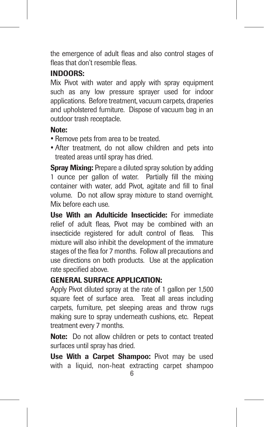the emergence of adult fleas and also control stages of fleas that don't resemble fleas.

#### INDOORS:

Mix Pivot with water and apply with spray equipment such as any low pressure sprayer used for indoor applications. Before treatment, vacuum carpets, draperies and upholstered furniture. Dispose of vacuum bag in an outdoor trash receptacle.

#### Note:

- Remove pets from area to be treated.
- After treatment, do not allow children and pets into treated areas until spray has dried.

**Spray Mixing:** Prepare a diluted spray solution by adding 1 ounce per gallon of water. Partially fill the mixing container with water, add Pivot, agitate and fill to final volume. Do not allow spray mixture to stand overnight. Mix before each use.

Use With an Adulticide Insecticide: For immediate relief of adult fleas, Pivot may be combined with an insecticide registered for adult control of fleas. This mixture will also inhibit the development of the immature stages of the flea for 7 months. Follow all precautions and use directions on both products. Use at the application rate specified above.

#### GENERAL SURFACE APPLICATION:

Apply Pivot diluted spray at the rate of 1 gallon per 1,500 square feet of surface area. Treat all areas including carpets, furniture, pet sleeping areas and throw rugs making sure to spray underneath cushions, etc. Repeat treatment every 7 months.

Note: Do not allow children or pets to contact treated surfaces until spray has dried.

Use With a Carpet Shampoo: Pivot may be used with a liquid, non-heat extracting carpet shampoo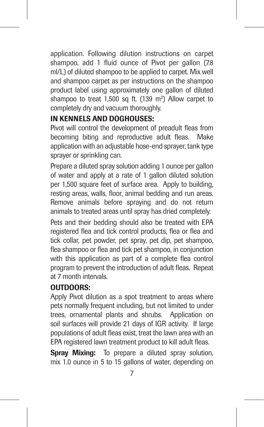application. Following dilution instructions on carpet shampoo, add 1 fluid ounce of Pivot per gallon (7.8) ml/L) of diluted shampoo to be applied to carpet. Mix well and shampoo carpet as per instructions on the shampoo product label using approximately one gallon of diluted shampoo to treat 1,500 sq ft. (139 m<sup>2</sup>) Allow carpet to completely dry and vacuum thoroughly.

#### IN KENNELS AND DOGHOUSES:

Pivot will control the development of preadult fleas from becoming biting and reproductive adult fleas. Make application with an adjustable hose-end sprayer, tank type sprayer or sprinkling can.

Prepare a diluted spray solution adding 1 ounce per gallon of water and apply at a rate of 1 gallon diluted solution per 1,500 square feet of surface area. Apply to building, resting areas, walls, floor, animal bedding and run areas. Remove animals before spraying and do not return animals to treated areas until spray has dried completely.

Pets and their bedding should also be treated with EPA registered flea and tick control products, flea or flea and tick collar, pet powder, pet spray, pet dip, pet shampoo, flea shampoo or flea and tick pet shampoo, in conjunction with this application as part of a complete flea control program to prevent the introduction of adult fleas. Repeat at 7 month intervals.

#### OUTDOORS:

Apply Pivot dilution as a spot treatment to areas where pets normally frequent including, but not limited to under trees, ornamental plants and shrubs. Application on soil surfaces will provide 21 days of IGR activity. If large populations of adult fleas exist, treat the lawn area with an EPA registered lawn treatment product to kill adult fleas.

Spray Mixing: To prepare a diluted spray solution, mix 1.0 ounce in 5 to 15 gallons of water, depending on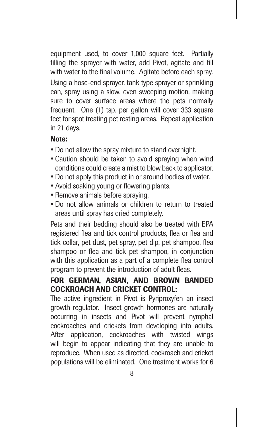equipment used, to cover 1,000 square feet. Partially filling the sprayer with water, add Pivot, agitate and fill with water to the final volume. Agitate before each spray. Using a hose-end sprayer, tank type sprayer or sprinkling can, spray using a slow, even sweeping motion, making sure to cover surface areas where the pets normally frequent. One (1) tsp. per gallon will cover 333 square feet for spot treating pet resting areas. Repeat application in 21 days.

#### Note:

- Do not allow the spray mixture to stand overnight.
- Caution should be taken to avoid spraying when wind conditions could create a mist to blow back to applicator.
- Do not apply this product in or around bodies of water.
- Avoid soaking young or flowering plants.
- Remove animals before spraying.
- Do not allow animals or children to return to treated areas until spray has dried completely.

Pets and their bedding should also be treated with EPA registered flea and tick control products, flea or flea and tick collar, pet dust, pet spray, pet dip, pet shampoo, flea shampoo or flea and tick pet shampoo, in conjunction with this application as a part of a complete flea control program to prevent the introduction of adult fleas.

#### FOR GERMAN, ASIAN, AND BROWN BANDED COCKROACH AND CRICKET CONTROL:

The active ingredient in Pivot is Pyriproxyfen an insect growth regulator. Insect growth hormones are naturally occurring in insects and Pivot will prevent nymphal cockroaches and crickets from developing into adults. After application, cockroaches with twisted wings will begin to appear indicating that they are unable to reproduce. When used as directed, cockroach and cricket populations will be eliminated. One treatment works for 6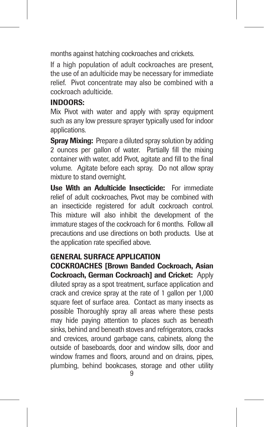months against hatching cockroaches and crickets.

If a high population of adult cockroaches are present, the use of an adulticide may be necessary for immediate relief. Pivot concentrate may also be combined with a cockroach adulticide.

#### INDOORS:

Mix Pivot with water and apply with spray equipment such as any low pressure sprayer typically used for indoor applications.

**Spray Mixing:** Prepare a diluted spray solution by adding 2 ounces per gallon of water. Partially fill the mixing container with water, add Pivot, agitate and fill to the final volume. Agitate before each spray. Do not allow spray mixture to stand overnight.

Use With an Adulticide Insecticide: For immediate relief of adult cockroaches, Pivot may be combined with an insecticide registered for adult cockroach control. This mixture will also inhibit the development of the immature stages of the cockroach for 6 months. Follow all precautions and use directions on both products. Use at the application rate specified above.

#### GENERAL SURFACE APPLICATION

COCKROACHES [Brown Banded Cockroach, Asian Cockroach, German Cockroach] and Cricket: Apply diluted spray as a spot treatment, surface application and crack and crevice spray at the rate of 1 gallon per 1,000 square feet of surface area. Contact as many insects as possible Thoroughly spray all areas where these pests may hide paying attention to places such as beneath sinks, behind and beneath stoves and refrigerators, cracks and crevices, around garbage cans, cabinets, along the outside of baseboards, door and window sills, door and window frames and floors, around and on drains, pipes, plumbing, behind bookcases, storage and other utility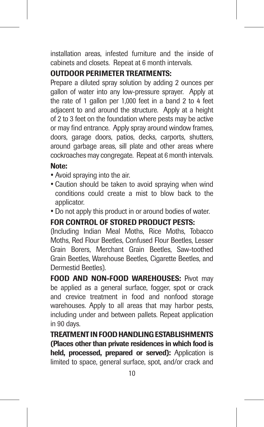installation areas, infested furniture and the inside of cabinets and closets. Repeat at 6 month intervals.

#### OUTDOOR PERIMETER TREATMENTS:

Prepare a diluted spray solution by adding 2 ounces per gallon of water into any low-pressure sprayer. Apply at the rate of 1 gallon per 1,000 feet in a band 2 to 4 feet adjacent to and around the structure. Apply at a height of 2 to 3 feet on the foundation where pests may be active or may find entrance. Apply spray around window frames, doors, garage doors, patios, decks, carports, shutters, around garbage areas, sill plate and other areas where cockroaches may congregate. Repeat at 6 month intervals.

#### Note:

- Avoid spraying into the air.
- Caution should be taken to avoid spraying when wind conditions could create a mist to blow back to the applicator.
- Do not apply this product in or around bodies of water.

#### FOR CONTROL OF STORED PRODUCT PESTS:

(Including Indian Meal Moths, Rice Moths, Tobacco Moths, Red Flour Beetles, Confused Flour Beetles, Lesser Grain Borers, Merchant Grain Beetles, Saw-toothed Grain Beetles, Warehouse Beetles, Cigarette Beetles, and Dermestid Beetles).

FOOD AND NON-FOOD WAREHOUSES: Pivot may be applied as a general surface, fogger, spot or crack and crevice treatment in food and nonfood storage warehouses. Apply to all areas that may harbor pests, including under and between pallets. Repeat application in 90 days.

TREATMENT IN FOOD HANDLING ESTABLISHMENTS (Places other than private residences in which food is held, processed, prepared or served): Application is limited to space, general surface, spot, and/or crack and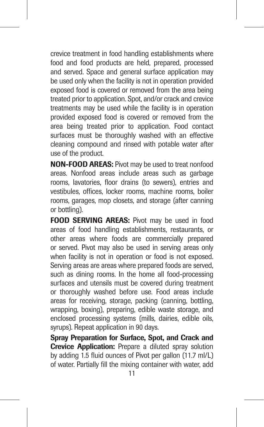crevice treatment in food handling establishments where food and food products are held, prepared, processed and served. Space and general surface application may be used only when the facility is not in operation provided exposed food is covered or removed from the area being treated prior to application. Spot, and/or crack and crevice treatments may be used while the facility is in operation provided exposed food is covered or removed from the area being treated prior to application. Food contact surfaces must be thoroughly washed with an effective cleaning compound and rinsed with potable water after use of the product.

NON-FOOD AREAS: Pivot may be used to treat nonfood areas. Nonfood areas include areas such as garbage rooms, lavatories, floor drains (to sewers), entries and vestibules, offices, locker rooms, machine rooms, boiler rooms, garages, mop closets, and storage (after canning or bottling).

FOOD SERVING AREAS: Pivot may be used in food areas of food handling establishments, restaurants, or other areas where foods are commercially prepared or served. Pivot may also be used in serving areas only when facility is not in operation or food is not exposed. Serving areas are areas where prepared foods are served. such as dining rooms. In the home all food-processing surfaces and utensils must be covered during treatment or thoroughly washed before use. Food areas include areas for receiving, storage, packing (canning, bottling, wrapping, boxing), preparing, edible waste storage, and enclosed processing systems (mills, dairies, edible oils, syrups). Repeat application in 90 days.

Spray Preparation for Surface, Spot, and Crack and Crevice Application: Prepare a diluted spray solution by adding 1.5 fluid ounces of Pivot per gallon (11.7 ml/L) of water. Partially fill the mixing container with water, add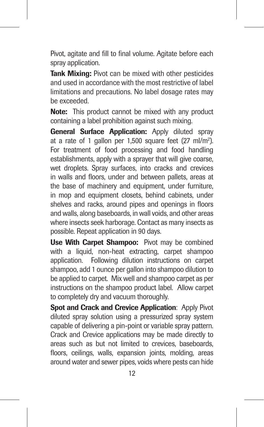Pivot, agitate and fill to final volume. Agitate before each spray application.

Tank Mixing: Pivot can be mixed with other pesticides and used in accordance with the most restrictive of label limitations and precautions. No label dosage rates may be exceeded.

Note: This product cannot be mixed with any product containing a label prohibition against such mixing.

General Surface Application: Apply diluted spray at a rate of 1 gallon per 1,500 square feet (27 ml/m<sup>2</sup>). For treatment of food processing and food handling establishments, apply with a sprayer that will give coarse. wet droplets. Spray surfaces, into cracks and crevices in walls and floors, under and between pallets, areas at the base of machinery and equipment, under furniture, in mop and equipment closets, behind cabinets, under shelves and racks, around pipes and openings in floors and walls, along baseboards, in wall voids, and other areas where insects seek harborage. Contact as many insects as possible. Repeat application in 90 days.

Use With Carpet Shampoo: Pivot may be combined with a liquid, non-heat extracting, carpet shampoo application. Following dilution instructions on carpet shampoo, add 1 ounce per gallon into shampoo dilution to be applied to carpet. Mix well and shampoo carpet as per instructions on the shampoo product label. Allow carpet to completely dry and vacuum thoroughly.

Spot and Crack and Crevice Application: Apply Pivot diluted spray solution using a pressurized spray system capable of delivering a pin-point or variable spray pattern. Crack and Crevice applications may be made directly to areas such as but not limited to crevices, baseboards, floors, ceilings, walls, expansion joints, molding, areas around water and sewer pipes, voids where pests can hide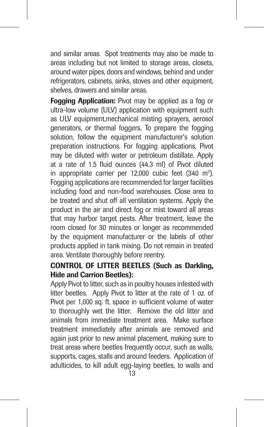and similar areas. Spot treatments may also be made to areas including but not limited to storage areas, closets, around water pipes, doors and windows, behind and under refrigerators, cabinets, sinks, stoves and other equipment, shelves, drawers and similar areas.

Fogging Application: Pivot may be applied as a fog or ultra-low volume (ULV) application with equipment such as ULV equipment,mechanical misting sprayers, aerosol generators, or thermal foggers. To prepare the fogging solution, follow the equipment manufacturer's solution preparation instructions. For fogging applications, Pivot may be diluted with water or petroleum distillate. Apply at a rate of 1.5 fluid ounces (44.3 ml) of Pivot diluted in appropriate carrier per 12,000 cubic feet (340 m<sup>3</sup>). Fogging applications are recommended for larger facilities including food and non-food warehouses. Close area to be treated and shut off all ventilation systems. Apply the product in the air and direct fog or mist toward all areas that may harbor target pests. After treatment, leave the room closed for 30 minutes or longer as recommended by the equipment manufacturer or the labels of other products applied in tank mixing. Do not remain in treated area. Ventilate thoroughly before reentry.

#### CONTROL OF LITTER BEETLES (Such as Darkling, Hide and Carrion Beetles):

Apply Pivot to litter, such as in poultry houses infested with litter beetles. Apply Pivot to litter at the rate of 1 oz. of Pivot per 1,000 sq. ft. space in sufficient volume of water to thoroughly wet the litter. Remove the old litter and animals from immediate treatment area. Make surface treatment immediately after animals are removed and again just prior to new animal placement, making sure to treat areas where beetles frequently occur, such as walls, supports, cages, stalls and around feeders. Application of adulticides, to kill adult egg-laying beetles, to walls and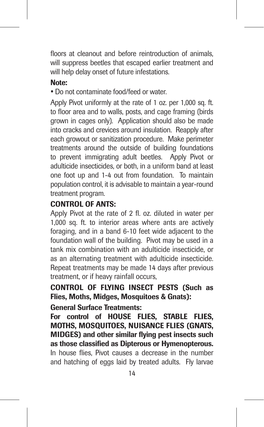floors at cleanout and before reintroduction of animals will suppress beetles that escaped earlier treatment and will help delay onset of future infestations.

#### Note:

• Do not contaminate food/feed or water.

Apply Pivot uniformly at the rate of 1 oz. per 1,000 sq. ft. to floor area and to walls, posts, and cage framing (birds grown in cages only). Application should also be made into cracks and crevices around insulation. Reapply after each growout or sanitization procedure. Make perimeter treatments around the outside of building foundations to prevent immigrating adult beetles. Apply Pivot or adulticide insecticides, or both, in a uniform band at least one foot up and 1-4 out from foundation. To maintain population control, it is advisable to maintain a year-round treatment program.

#### CONTROL OF ANTS:

Apply Pivot at the rate of 2 fl. oz. diluted in water per 1,000 sq. ft. to interior areas where ants are actively foraging, and in a band 6-10 feet wide adjacent to the foundation wall of the building. Pivot may be used in a tank mix combination with an adulticide insecticide, or as an alternating treatment with adulticide insecticide. Repeat treatments may be made 14 days after previous treatment, or if heavy rainfall occurs,

CONTROL OF FLYING INSECT PESTS (Such as Flies, Moths, Midges, Mosquitoes & Gnats):

#### General Surface Treatments:

For control of HOUSE FLIES, STABLE FLIES, MOTHS, MOSQUITOES, NUISANCE FLIES (GNATS, MIDGES) and other similar flying pest insects such as those classified as Dipterous or Hymenopterous. In house flies, Pivot causes a decrease in the number and hatching of eggs laid by treated adults. Fly larvae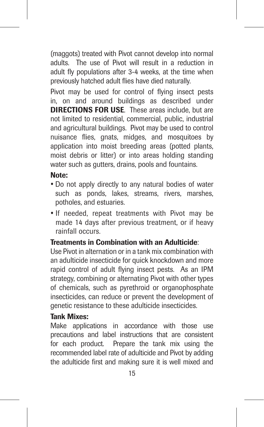(maggots) treated with Pivot cannot develop into normal adults. The use of Pivot will result in a reduction in adult fly populations after 3-4 weeks, at the time when previously hatched adult flies have died naturally.

Pivot may be used for control of flying insect pests in, on and around buildings as described under DIRECTIONS FOR USE. These areas include, but are not limited to residential, commercial, public, industrial and agricultural buildings. Pivot may be used to control nuisance flies, gnats, midges, and mosquitoes by application into moist breeding areas (potted plants, moist debris or litter) or into areas holding standing water such as gutters, drains, pools and fountains.

#### Note:

- Do not apply directly to any natural bodies of water such as ponds, lakes, streams, rivers, marshes, potholes, and estuaries.
- If needed, repeat treatments with Pivot may be made 14 days after previous treatment, or if heavy rainfall occurs.

#### Treatments in Combination with an Adulticide:

Use Pivot in alternation or in a tank mix combination with an adulticide insecticide for quick knockdown and more rapid control of adult flying insect pests. As an IPM strategy, combining or alternating Pivot with other types of chemicals, such as pyrethroid or organophosphate insecticides, can reduce or prevent the development of genetic resistance to these adulticide insecticides.

#### Tank Mixes:

Make applications in accordance with those use precautions and label instructions that are consistent for each product. Prepare the tank mix using the recommended label rate of adulticide and Pivot by adding the adulticide first and making sure it is well mixed and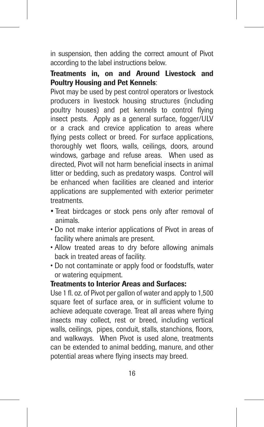in suspension, then adding the correct amount of Pivot according to the label instructions below.

#### Treatments in, on and Around Livestock and Poultry Housing and Pet Kennels:

Pivot may be used by pest control operators or livestock producers in livestock housing structures (including poultry houses) and pet kennels to control flying insect pests. Apply as a general surface, fogger/ULV or a crack and crevice application to areas where flying pests collect or breed. For surface applications, thoroughly wet floors, walls, ceilings, doors, around windows, garbage and refuse areas. When used as directed, Pivot will not harm beneficial insects in animal litter or bedding, such as predatory wasps. Control will be enhanced when facilities are cleaned and interior applications are supplemented with exterior perimeter treatments.

- Treat birdcages or stock pens only after removal of animals.
- Do not make interior applications of Pivot in areas of facility where animals are present.
- Allow treated areas to dry before allowing animals back in treated areas of facility.
- Do not contaminate or apply food or foodstuffs, water or watering equipment.

#### Treatments to Interior Areas and Surfaces:

Use 1 fl. oz. of Pivot per gallon of water and apply to 1,500 square feet of surface area, or in sufficient volume to achieve adequate coverage. Treat all areas where flying insects may collect, rest or breed, including vertical walls, ceilings, pipes, conduit, stalls, stanchions, floors, and walkways. When Pivot is used alone, treatments can be extended to animal bedding, manure, and other potential areas where flying insects may breed.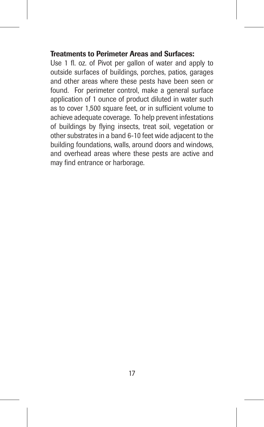#### Treatments to Perimeter Areas and Surfaces:

Use 1 fl. oz. of Pivot per gallon of water and apply to outside surfaces of buildings, porches, patios, garages and other areas where these pests have been seen or found. For perimeter control, make a general surface application of 1 ounce of product diluted in water such as to cover 1,500 square feet, or in sufficient volume to achieve adequate coverage. To help prevent infestations of buildings by flying insects, treat soil, vegetation or other substrates in a band 6-10 feet wide adjacent to the building foundations, walls, around doors and windows, and overhead areas where these pests are active and may find entrance or harborage.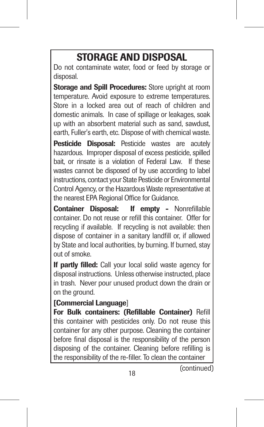# STORAGE AND DISPOSAL

Do not contaminate water, food or feed by storage or disposal.

Storage and Spill Procedures: Store upright at room temperature. Avoid exposure to extreme temperatures. Store in a locked area out of reach of children and domestic animals. In case of spillage or leakages, soak up with an absorbent material such as sand, sawdust, earth, Fuller's earth, etc. Dispose of with chemical waste.

Pesticide Disposal: Pesticide wastes are acutely hazardous. Improper disposal of excess pesticide, spilled bait, or rinsate is a violation of Federal Law. If these wastes cannot be disposed of by use according to label instructions, contact your State Pesticide or Environmental Control Agency, or the Hazardous Waste representative at the nearest EPA Regional Office for Guidance.

Container Disposal: If empty - Nonrefillable container. Do not reuse or refill this container. Offer for recycling if available. If recycling is not available: then dispose of container in a sanitary landfill or, if allowed by State and local authorities, by burning. If burned, stay out of smoke.

If partly filled: Call your local solid waste agency for disposal instructions. Unless otherwise instructed, place in trash. Never pour unused product down the drain or on the ground.

#### [Commercial Language]

For Bulk containers: (Refillable Container) Refill this container with pesticides only. Do not reuse this container for any other purpose. Cleaning the container before final disposal is the responsibility of the person disposing of the container. Cleaning before refilling is the responsibility of the re-filler. To clean the container

(continued)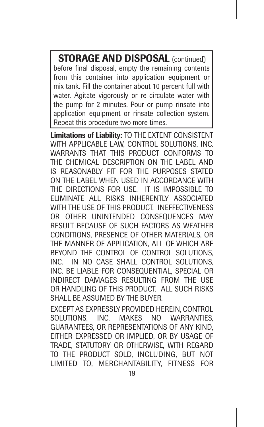STORAGE AND DISPOSAL (continued) before final disposal, empty the remaining contents from this container into application equipment or mix tank. Fill the container about 10 percent full with water. Agitate vigorously or re-circulate water with the pump for 2 minutes. Pour or pump rinsate into application equipment or rinsate collection system. Repeat this procedure two more times.

Limitations of Liability: TO THE EXTENT CONSISTENT WITH APPLICABLE LAW, CONTROL SOLUTIONS, INC. WARRANTS THAT THIS PRODUCT CONFORMS TO THE CHEMICAL DESCRIPTION ON THE LABEL AND IS REASONABLY FIT FOR THE PURPOSES STATED ON THE LABEL WHEN USED IN ACCORDANCE WITH THE DIRECTIONS FOR LISE. IT IS IMPOSSIBLE TO ELIMINATE ALL RISKS INHERENTLY ASSOCIATED WITH THE USE OF THIS PRODUCT. INEFFECTIVENESS OR OTHER UNINTENDED CONSEQUENCES MAY RESULT BECAUSE OF SUCH FACTORS AS WEATHER CONDITIONS, PRESENCE OF OTHER MATERIALS, OR THE MANNER OF APPLICATION, ALL OF WHICH ARE BEYOND THE CONTROL OF CONTROL SOLUTIONS, INC. IN NO CASE SHALL CONTROL SOLUTIONS, INC. BE LIABLE FOR CONSEQUENTIAL, SPECIAL OR INDIRECT DAMAGES RESULTING FROM THE USE OR HANDLING OF THIS PRODUCT. ALL SUCH RISKS SHALL BE ASSUMED BY THE BUYER.

EXCEPT AS EXPRESSLY PROVIDED HEREIN, CONTROL SOLUTIONS, INC. MAKES NO WARRANTIES. GUARANTEES, OR REPRESENTATIONS OF ANY KIND, EITHER EXPRESSED OR IMPLIED, OR BY USAGE OF TRADE, STATUTORY OR OTHERWISE, WITH REGARD TO THE PRODUCT SOLD, INCLUDING, BUT NOT LIMITED TO, MERCHANTABILITY, FITNESS FOR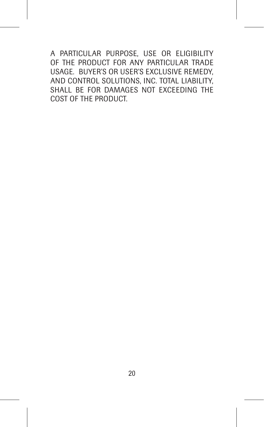A PARTICULAR PURPOSE, USE OR ELIGIBILITY OF THE PRODUCT FOR ANY PARTICULAR TRADE USAGE. BUYER'S OR USER'S EXCLUSIVE REMEDY, AND CONTROL SOLUTIONS, INC. TOTAL LIABILITY, SHALL BE FOR DAMAGES NOT EXCEEDING THE COST OF THE PRODUCT.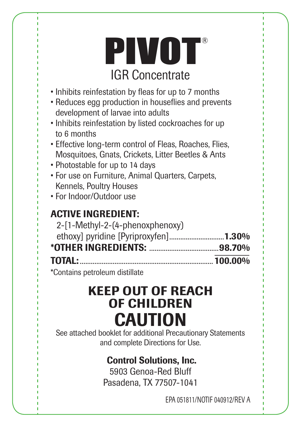# PIVOT® IGR Concentrate

- Inhibits reinfestation by fleas for up to 7 months
- Reduces egg production in houseflies and prevents development of larvae into adults
- Inhibits reinfestation by listed cockroaches for up to 6 months
- Effective long-term control of Fleas, Roaches, Flies, Mosquitoes, Gnats, Crickets, Litter Beetles & Ants
- Photostable for up to 14 days
- For use on Furniture, Animal Quarters, Carpets,
- Kennels, Poultry Houses
- For Indoor/Outdoor use

# ACTIVE INGREDIENT:

| 2-[1-Methyl-2-(4-phenoxphenoxy)      |  |
|--------------------------------------|--|
| ethoxy] pyridine [Pyriproxyfen]1.30% |  |
|                                      |  |
| <b>TOTAL:</b> 100.00%                |  |

\*Contains petroleum distillate

# KEEP OUT OF REACH OF CHILDREN CAUTION

See attached booklet for additional Precautionary Statements and complete Directions for Use.

# Control Solutions, Inc.

5903 Genoa-Red Bluff Pasadena, TX 77507-1041

EPA 051811/NOTIF 040912/REV A